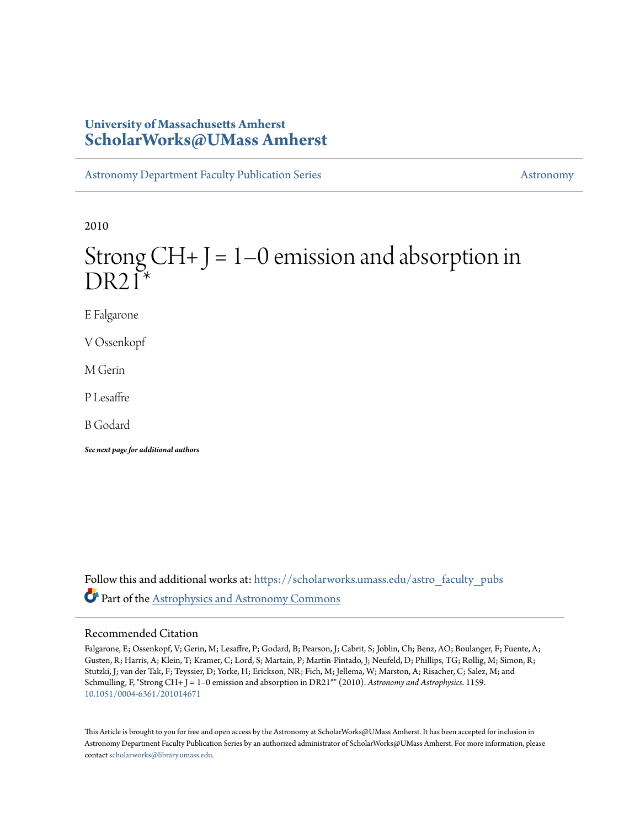# **University of Massachusetts Amherst [ScholarWorks@UMass Amherst](https://scholarworks.umass.edu?utm_source=scholarworks.umass.edu%2Fastro_faculty_pubs%2F1159&utm_medium=PDF&utm_campaign=PDFCoverPages)**

[Astronomy Department Faculty Publication Series](https://scholarworks.umass.edu/astro_faculty_pubs?utm_source=scholarworks.umass.edu%2Fastro_faculty_pubs%2F1159&utm_medium=PDF&utm_campaign=PDFCoverPages) [Astronomy](https://scholarworks.umass.edu/astro?utm_source=scholarworks.umass.edu%2Fastro_faculty_pubs%2F1159&utm_medium=PDF&utm_campaign=PDFCoverPages) Astronomy

2010

# Strong  $CH+J = 1-0$  emission and absorption in  $DR21*$

E Falgarone

V Ossenkopf

M Gerin

P Lesaffre

B Godard

*See next page for additional authors*

Follow this and additional works at: [https://scholarworks.umass.edu/astro\\_faculty\\_pubs](https://scholarworks.umass.edu/astro_faculty_pubs?utm_source=scholarworks.umass.edu%2Fastro_faculty_pubs%2F1159&utm_medium=PDF&utm_campaign=PDFCoverPages) Part of the [Astrophysics and Astronomy Commons](http://network.bepress.com/hgg/discipline/123?utm_source=scholarworks.umass.edu%2Fastro_faculty_pubs%2F1159&utm_medium=PDF&utm_campaign=PDFCoverPages)

# Recommended Citation

Falgarone, E; Ossenkopf, V; Gerin, M; Lesaffre, P; Godard, B; Pearson, J; Cabrit, S; Joblin, Ch; Benz, AO; Boulanger, F; Fuente, A; Gusten, R; Harris, A; Klein, T; Kramer, C; Lord, S; Martain, P; Martin-Pintado, J; Neufeld, D; Phillips, TG; Rollig, M; Simon, R; Stutzki, J; van der Tak, F; Teyssier, D; Yorke, H; Erickson, NR; Fich, M; Jellema, W; Marston, A; Risacher, C; Salez, M; and Schmulling, F, "Strong CH+ J = 1-0 emission and absorption in DR21<sup>\*</sup>" (2010). *Astronomy and Astrophysics*. 1159. <10.1051/0004-6361/201014671>

This Article is brought to you for free and open access by the Astronomy at ScholarWorks@UMass Amherst. It has been accepted for inclusion in Astronomy Department Faculty Publication Series by an authorized administrator of ScholarWorks@UMass Amherst. For more information, please contact [scholarworks@library.umass.edu](mailto:scholarworks@library.umass.edu).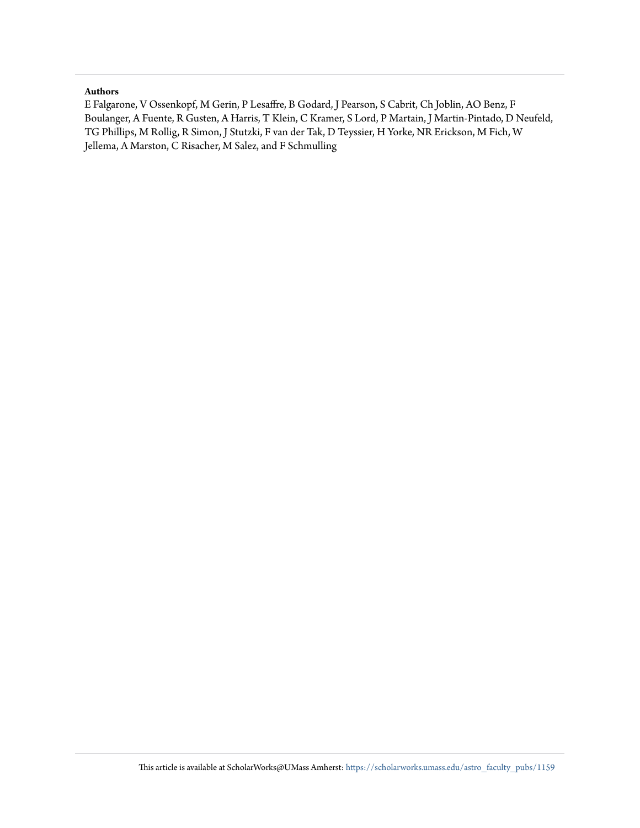# **Authors**

E Falgarone, V Ossenkopf, M Gerin, P Lesaffre, B Godard, J Pearson, S Cabrit, Ch Joblin, AO Benz, F Boulanger, A Fuente, R Gusten, A Harris, T Klein, C Kramer, S Lord, P Martain, J Martin-Pintado, D Neufeld, TG Phillips, M Rollig, R Simon, J Stutzki, F van der Tak, D Teyssier, H Yorke, NR Erickson, M Fich, W Jellema, A Marston, C Risacher, M Salez, and F Schmulling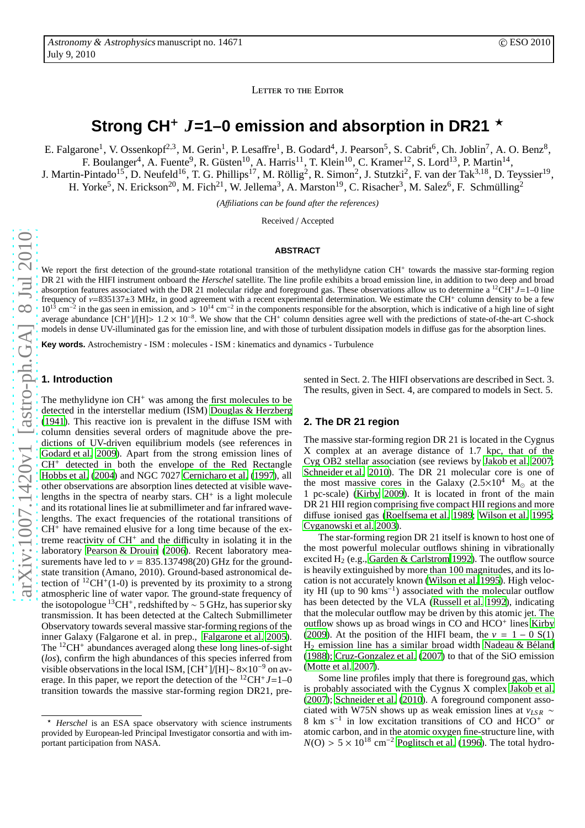LETTER TO THE EDITOR

# Strong CH<sup>+</sup>  $J=1-0$  emission and absorption in DR21  $\star$

E. Falgarone<sup>1</sup>, V. Ossenkopf<sup>2,3</sup>, M. Gerin<sup>1</sup>, P. Lesaffre<sup>1</sup>, B. Godard<sup>4</sup>, J. Pearson<sup>5</sup>, S. Cabrit<sup>6</sup>, Ch. Joblin<sup>7</sup>, A. O. Benz<sup>8</sup>, F. Boulanger<sup>4</sup>, A. Fuente<sup>9</sup>, R. Güsten<sup>10</sup>, A. Harris<sup>11</sup>, T. Klein<sup>10</sup>, C. Kramer<sup>12</sup>, S. Lord<sup>13</sup>, P. Martin<sup>14</sup>, J. Martin-Pintado<sup>15</sup>, D. Neufeld<sup>16</sup>, T. G. Phillips<sup>17</sup>, M. Röllig<sup>2</sup>, R. Simon<sup>2</sup>, J. Stutzki<sup>2</sup>, F. van der Tak<sup>3,18</sup>, D. Teyssier<sup>19</sup>,

H. Yorke<sup>5</sup>, N. Erickson<sup>20</sup>, M. Fich<sup>21</sup>, W. Jellema<sup>3</sup>, A. Marston<sup>19</sup>, C. Risacher<sup>3</sup>, M. Salez<sup>6</sup>, F. Schmülling<sup>2</sup>

*(A*ffi*liations can be found after the references)*

Received / Accepted

#### **ABSTRACT**

We report the first detection of the ground-state rotational transition of the methylidyne cation CH<sup>+</sup> towards the massive star-forming region DR 21 with the HIFI instrument onboard the *Herschel* satellite. The line profile exhibits a broad emission line, in addition to two deep and broad absorption features associated with the DR 21 molecular ridge and foreground gas. These observations allow us to determine a <sup>12</sup>CH<sup>+</sup>J=1–0 line frequency of  $v=835137\pm3$  MHz, in good agreement with a recent experimental determination. We estimate the CH<sup>+</sup> column density to be a few  $10^{13}$  cm<sup>-2</sup> in the gas seen in emission, and >  $10^{14}$  cm<sup>-2</sup> in the components responsible for the absorption, which is indicative of a high line of sight average abundance [CH<sup>+</sup>]/[H]>  $1.2 \times 10^{-8}$ . We show that the CH<sup>+</sup> column densities agree well with the predictions of state-of-the-art C-shock models in dense UV-illuminated gas for the emission line, and with those of turbulent dissipation models in diffuse gas for the absorption lines.

**Key words.** Astrochemistry - ISM : molecules - ISM : kinematics and dynamics - Turbulence

# **1. Introduction**

The methylidyne ion  $CH<sup>+</sup>$  was among the first molecules to be detected in the interstellar medium (ISM) [Douglas & Herzberg](#page-5-0) [\(1941\)](#page-5-0). This reactive ion is prevalent in the diffuse ISM with column densities several orders of magnitude above the predictions of UV-driven equilibrium models (see references in [Godard et al. 2009](#page-5-1)). Apart from the strong emission lines of CH<sup>+</sup> detected in both the envelope of the Red Rectangle [Hobbs et al. \(2004](#page-5-2)) and NGC 7027 [Cernicharo et al. \(1997\)](#page-5-3), all other observations are absorption lines detected at visible wavelengths in the spectra of nearby stars.  $CH<sup>+</sup>$  is a light molecule and its rotational lines lie at submillimeter and far infrared wavelengths. The exact frequencies of the rotational transitions of  $CH<sup>+</sup>$  have remained elusive for a long time because of the extreme reactivity of CH<sup>+</sup> and the difficulty in isolating it in the laboratory [Pearson & Drouin \(2006\)](#page-5-4). Recent laboratory measurements have led to  $v = 835.137498(20)$  GHz for the groundstate transition (Amano, 2010). Ground-based astronomical detection of  ${}^{12}CH^+(1-0)$  is prevented by its proximity to a strong atmospheric line of water vapor. The ground-state frequency of the isotopologue <sup>13</sup>CH<sup>+</sup>, redshifted by ~ 5 GHz, has superior sky transmission. It has been detected at the Caltech Submillimeter Observatory towards several massive star-forming regions of the inner Galaxy (Falgarone et al. in prep., [Falgarone et al. 2005](#page-5-5)). The <sup>12</sup>CH<sup>+</sup> abundances averaged along these long lines-of-sight (*los*), confirm the high abundances of this species inferred from visible observations in the local ISM,  $\text{[CH^+]}$ / $\text{[H]} \sim 8 \times 10^{-9}$  on average. In this paper, we report the detection of the  $^{12}CH^{+}J=1-0$ transition towards the massive star-forming region DR21, presented in Sect. 2. The HIFI observations are described in Sect. 3. The results, given in Sect. 4, are compared to models in Sect. 5.

## **2. The DR 21 region**

The massive star-forming region DR 21 is located in the Cygnus X complex at an average distance of 1.7 kpc, that of the Cyg OB2 stellar association (see reviews by [Jakob et al. 2007;](#page-5-6) [Schneider et al. 2010](#page-5-7)). The DR 21 molecular core is one of the most massive cores in the Galaxy (2.5×10<sup>4</sup> M<sub>o</sub> at the 1 pc-scale) [\(Kirby 2009\)](#page-5-8). It is located in front of the main DR 21 HII region comprising five compact HII regions and more diffuse ionised gas [\(Roelfsema et al. 1989;](#page-5-9) [Wilson et al. 1995;](#page-5-10) [Cyganowski et al. 2003\)](#page-5-11).

The star-forming region DR 21 itself is known to host one of the most powerful molecular outflows shining in vibrationally excited H<sub>2</sub> (e.g., [Garden & Carlstrom 1992\)](#page-5-12). The outflow source is heavily extinguished by more than 100 magnitudes, and its location is not accurately known [\(Wilson et al. 1995\)](#page-5-10). High velocity HI (up to 90 kms<sup>−</sup><sup>1</sup> ) associated with the molecular outflow has been detected by the VLA [\(Russell et al. 1992\)](#page-5-13), indicating that the molecular outflow may be driven by this atomic jet. The outflow shows up as broad wings in CO and HCO<sup>+</sup> lines [Kirby](#page-5-8) [\(2009](#page-5-8)). At the position of the HIFI beam, the  $v = 1 - 0$  S(1)  $H<sub>2</sub>$  emission line has a similar broad width Nadeau & Béland [\(1988](#page-5-14)); [Cruz-Gonzalez et al. \(2007\)](#page-5-15) to that of the SiO emission [\(Motte et al. 2007\)](#page-5-16).

Some line profiles imply that there is foreground gas, which is probably associated with the Cygnus X complex [Jakob et al.](#page-5-6) [\(2007](#page-5-6)); [Schneider et al. \(2010\)](#page-5-7). A foreground component associated with W75N shows up as weak emission lines at *vLS R* ∼ 8 km s<sup>−</sup><sup>1</sup> in low excitation transitions of CO and HCO<sup>+</sup> or atomic carbon, and in the atomic oxygen fine-structure line, with  $N(O) > 5 \times 10^{18}$  cm<sup>-2</sup> [Poglitsch et al. \(1996\)](#page-5-17). The total hydro-

<sup>⋆</sup> *Herschel* is an ESA space observatory with science instruments provided by European-led Principal Investigator consortia and with important participation from NASA.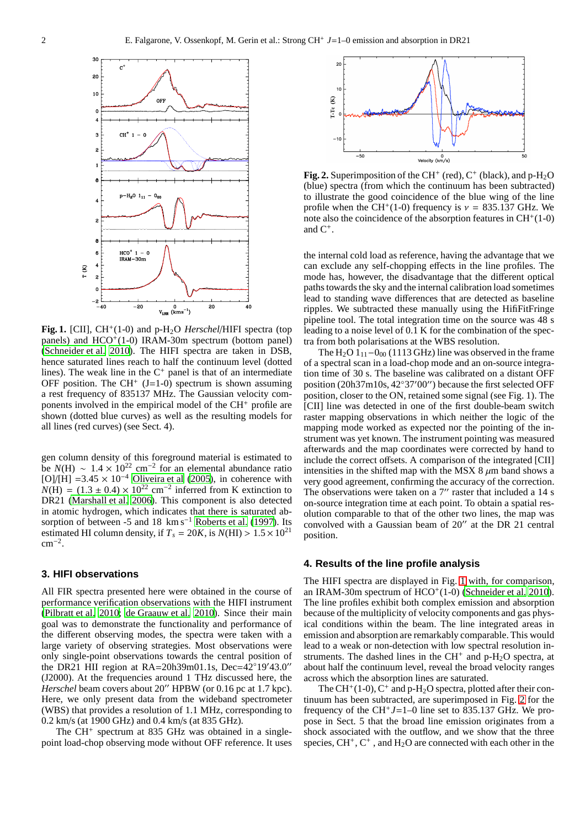

<span id="page-3-0"></span>Fig. 1. [CII], CH<sup>+</sup>(1-0) and p-H<sub>2</sub>O *Herschel*/HIFI spectra (top panels) and HCO<sup>+</sup>(1-0) IRAM-30m spectrum (bottom panel) [\(Schneider et al. 2010\)](#page-5-7). The HIFI spectra are taken in DSB, hence saturated lines reach to half the continuum level (dotted lines). The weak line in the  $C^+$  panel is that of an intermediate OFF position. The CH<sup>+</sup> (J=1-0) spectrum is shown assuming a rest frequency of 835137 MHz. The Gaussian velocity components involved in the empirical model of the CH<sup>+</sup> profile are shown (dotted blue curves) as well as the resulting models for all lines (red curves) (see Sect. 4).

gen column density of this foreground material is estimated to be  $N(H) \sim 1.4 \times 10^{22}$  cm<sup>-2</sup> for an elemental abundance ratio [O]/[H] =3.45  $\times$  10<sup>-4</sup> [Oliveira et al \(2005\)](#page-5-18), in coherence with  $N(H) = (1.3 \pm 0.4) \times 10^{22}$  cm<sup>-2</sup> inferred from K extinction to DR21 [\(Marshall et al. 2006](#page-5-19)). This component is also detected in atomic hydrogen, which indicates that there is saturated ab-sorption of between -5 and 18 km s<sup>-1</sup> [Roberts et al. \(1997](#page-5-20)). Its estimated HI column density, if  $T_s = 20K$ , is  $N(HI) > 1.5 \times 10^{21}$  $cm^{-2}$ .

# **3. HIFI observations**

All FIR spectra presented here were obtained in the course of performance verification observations with the HIFI instrument [\(Pilbratt et al. 2010;](#page-5-21) [de Graauw et al. 2010\)](#page-5-22). Since their main goal was to demonstrate the functionality and performance of the different observing modes, the spectra were taken with a large variety of observing strategies. Most observations were only single-point observations towards the central position of the DR21 HII region at RA=20h39m01.1s, Dec=42◦19′43.0′′ (J2000). At the frequencies around 1 THz discussed here, the *Herschel* beam covers about 20" HPBW (or 0.16 pc at 1.7 kpc). Here, we only present data from the wideband spectrometer (WBS) that provides a resolution of 1.1 MHz, corresponding to 0.2 km/s (at 1900 GHz) and 0.4 km/s (at 835 GHz).

The CH<sup>+</sup> spectrum at 835 GHz was obtained in a singlepoint load-chop observing mode without OFF reference. It uses



<span id="page-3-1"></span>Fig. 2. Superimposition of the CH<sup>+</sup> (red),  $C^+$  (black), and p-H<sub>2</sub>O (blue) spectra (from which the continuum has been subtracted) to illustrate the good coincidence of the blue wing of the line profile when the CH<sup>+</sup>(1-0) frequency is  $v = 835.137$  GHz. We note also the coincidence of the absorption features in  $CH<sup>+</sup>(1-0)$ and  $C^+$ .

the internal cold load as reference, having the advantage that we can exclude any self-chopping effects in the line profiles. The mode has, however, the disadvantage that the different optical paths towards the sky and the internal calibration load sometimes lead to standing wave differences that are detected as baseline ripples. We subtracted these manually using the HifiFitFringe pipeline tool. The total integration time on the source was 48 s leading to a noise level of 0.1 K for the combination of the spectra from both polarisations at the WBS resolution.

The H<sub>2</sub>O  $1_{11}$ −0<sub>00</sub> (1113 GHz) line was observed in the frame of a spectral scan in a load-chop mode and an on-source integration time of 30 s. The baseline was calibrated on a distant OFF position (20h37m10s, 42◦37′00′′) because the first selected OFF position, closer to the ON, retained some signal (see Fig. 1). The [CII] line was detected in one of the first double-beam switch raster mapping observations in which neither the logic of the mapping mode worked as expected nor the pointing of the instrument was yet known. The instrument pointing was measured afterwards and the map coordinates were corrected by hand to include the correct offsets. A comparison of the integrated [CII] intensities in the shifted map with the MSX 8  $\mu$ m band shows a very good agreement, confirming the accuracy of the correction. The observations were taken on a 7" raster that included a 14 s on-source integration time at each point. To obtain a spatial resolution comparable to that of the other two lines, the map was convolved with a Gaussian beam of 20′′ at the DR 21 central position.

# **4. Results of the line profile analysis**

The HIFI spectra are displayed in Fig. [1](#page-3-0) with, for comparison, an IRAM-30m spectrum of  $HCO<sup>+</sup>(1-0)$  [\(Schneider et al. 2010\)](#page-5-7). The line profiles exhibit both complex emission and absorption because of the multiplicity of velocity components and gas physical conditions within the beam. The line integrated areas in emission and absorption are remarkably comparable. This would lead to a weak or non-detection with low spectral resolution instruments. The dashed lines in the  $CH<sup>+</sup>$  and p-H<sub>2</sub>O spectra, at about half the continuum level, reveal the broad velocity ranges across which the absorption lines are saturated.

The CH<sup>+</sup>(1-0), C<sup>+</sup> and p-H<sub>2</sub>O spectra, plotted after their continuum has been subtracted, are superimposed in Fig. [2](#page-3-1) for the frequency of the CH<sup>+</sup> $J=1-0$  line set to 835.137 GHz. We propose in Sect. 5 that the broad line emission originates from a shock associated with the outflow, and we show that the three species,  $CH^+$ ,  $C^+$ , and  $H_2O$  are connected with each other in the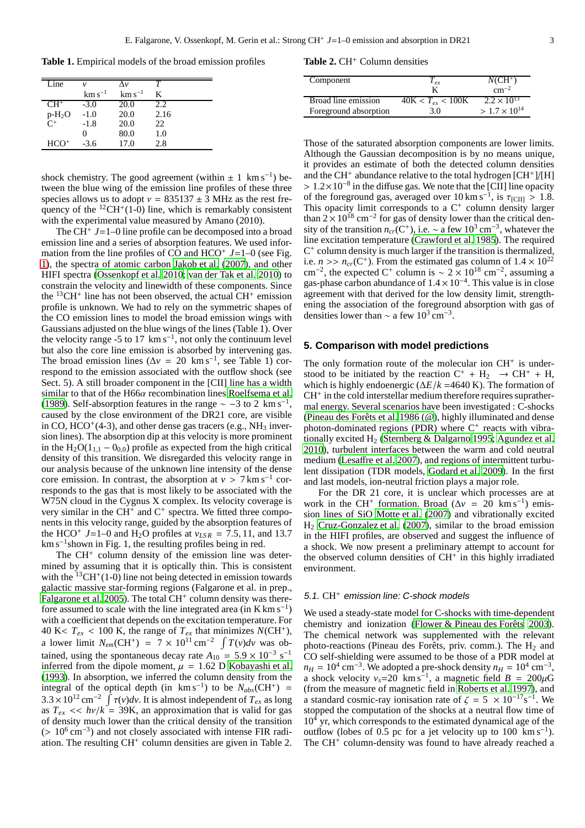**Table 1.** Empirical models of the broad emission profiles

| Line        | $\mathcal{V}$     | Λν               | т    |
|-------------|-------------------|------------------|------|
|             | $\rm km\,s^{-1}$  | $\rm km\,s^{-1}$ | K    |
| $CH+$       | $-3.0$            | 20.0             | 2.2. |
| $P^{-H_2O}$ | $-1.0$            | 20.0             | 2.16 |
|             | $-1.8$            | 20.0             | 22.  |
|             | $\mathbf{\Omega}$ | 80.0             | 1.0  |
| $HCO+$      | $-3.6$            | 17.0             | 2.8  |

shock chemistry. The good agreement (within  $\pm 1 \text{ km s}^{-1}$ ) between the blue wing of the emission line profiles of these three species allows us to adopt  $v = 835137 \pm 3$  MHz as the rest frequency of the  ${}^{12}CH^+(1-0)$  line, which is remarkably consistent with the experimental value measured by Amano (2010).

The CH<sup>+</sup> *J*=1–0 line profile can be decomposed into a broad emission line and a series of absorption features. We used information from the line profiles of CO and  $HCO<sup>+</sup> J=1-0$  (see Fig. [1\)](#page-3-0), the spectra of atomic carbon [Jakob et al. \(2007](#page-5-6)), and other HIFI spectra [\(Ossenkopf et al. 2010;](#page-5-23) [van der Tak et al. 2010\)](#page-5-24) to constrain the velocity and linewidth of these components. Since the  ${}^{13}CH^+$  line has not been observed, the actual  $CH^+$  emission profile is unknown. We had to rely on the symmetric shapes of the CO emission lines to model the broad emission wings with Gaussians adjusted on the blue wings of the lines (Table 1). Over the velocity range -5 to 17  $\rm km\,s^{-1}$ , not only the continuum level but also the core line emission is absorbed by intervening gas. The broad emission lines ( $\Delta v = 20 \text{ km s}^{-1}$ , see Table 1) correspond to the emission associated with the outflow shock (see Sect. 5). A still broader component in the [CII] line has a width similar to that of the H66α recombination lines [Roelfsema et al.](#page-5-9) [\(1989\)](#page-5-9). Self-absorption features in the range  $\sim -3$  to 2 km s<sup>-1</sup>, caused by the close environment of the DR21 core, are visible in CO,  $\text{HCO}^+(4-3)$ , and other dense gas tracers (e.g., NH<sub>3</sub> inversion lines). The absorption dip at this velocity is more prominent in the  $H_2O(1_{1,1} - 0_{0,0})$  profile as expected from the high critical density of this transition. We disregarded this velocity range in our analysis because of the unknown line intensity of the dense core emission. In contrast, the absorption at  $v > 7 \text{ km s}^{-1}$  corresponds to the gas that is most likely to be associated with the W75N cloud in the Cygnus X complex. Its velocity coverage is very similar in the  $CH<sup>+</sup>$  and  $C<sup>+</sup>$  spectra. We fitted three components in this velocity range, guided by the absorption features of the HCO<sup>+</sup> J=1–0 and H<sub>2</sub>O profiles at  $v_{LSR} = 7.5, 11,$  and 13.7 km s<sup>-1</sup>shown in Fig. 1, the resulting profiles being in red.

The CH<sup>+</sup> column density of the emission line was determined by assuming that it is optically thin. This is consistent with the  ${}^{13}CH^+(1-0)$  line not being detected in emission towards galactic massive star-forming regions (Falgarone et al. in prep., [Falgarone et al. 2005\)](#page-5-5). The total CH<sup>+</sup> column density was therefore assumed to scale with the line integrated area  $(in K km s<sup>-1</sup>)$ with a coefficient that depends on the excitation temperature. For 40 K<  $T_{ex}$  < 100 K, the range of  $T_{ex}$  that minimizes  $N(CH^+)$ , a lower limit  $N_{em}$ (CH<sup>+</sup>) = 7 × 10<sup>11</sup> cm<sup>-2</sup>  $\int T(v)dv$  was obtained, using the spontaneous decay rate  $A_{10} = 5.9 \times 10^{-3} \text{ s}^{-1}$ inferred from the dipole moment,  $\mu = 1.62$  D [Kobayashi et al.](#page-5-25) [\(1993\)](#page-5-25). In absorption, we inferred the column density from the integral of the optical depth (in  $km s^{-1}$ ) to be  $N_{abs}(CH^+)$  = 3.3 × 10<sup>12</sup> cm<sup>-2</sup>  $\int$  τ(*v*)*dv*. It is almost independent of  $T_{ex}$  as long as  $T_{ex} \ll h\nu/k = 39K$ , an approximation that is valid for gas of density much lower than the critical density of the transition (> 10<sup>6</sup> cm<sup>-3</sup>) and not closely associated with intense FIR radiation. The resulting CH<sup>+</sup> column densities are given in Table 2.

### Table 2. CH<sup>+</sup> Column densities

| Component             | $T_{\text{er}}$           | $NCH^+$                |
|-----------------------|---------------------------|------------------------|
|                       |                           | $\rm cm^{-2}$          |
| Broad line emission   | $40K < T_{\rm ex} < 100K$ | $2.2 \times 10^{13}$   |
| Foreground absorption | 3.0                       | $> 1.7 \times 10^{14}$ |

Those of the saturated absorption components are lower limits. Although the Gaussian decomposition is by no means unique, it provides an estimate of both the detected column densities and the CH<sup>+</sup> abundance relative to the total hydrogen [CH<sup>+</sup>]/[H] > 1.2×10<sup>-8</sup> in the diffuse gas. We note that the [CII] line opacity of the foreground gas, averaged over  $10 \text{ km s}^{-1}$ , is  $\tau_{\text{[CII]}} > 1.8$ . This opacity limit corresponds to a  $C^+$  column density larger than  $2 \times 10^{18}$  cm<sup>-2</sup> for gas of density lower than the critical density of the transition  $n_{cr}(C^+)$ , i.e. ~ a few 10<sup>3</sup> cm<sup>-3</sup>, whatever the line excitation temperature [\(Crawford et al. 1985](#page-5-26)). The required C + column density is much larger if the transition is thermalized, i.e.  $n \gg n_{cr}(C^+)$ . From the estimated gas column of  $1.4 \times 10^{22}$ cm<sup>-2</sup>, the expected C<sup>+</sup> column is ~ 2 × 10<sup>18</sup> cm<sup>-2</sup>, assuming a gas-phase carbon abundance of  $1.4 \times 10^{-4}$ . This value is in close agreement with that derived for the low density limit, strengthening the association of the foreground absorption with gas of densities lower than  $\sim$  a few 10<sup>3</sup> cm<sup>-3</sup>.

### **5. Comparison with model predictions**

The only formation route of the molecular ion CH<sup>+</sup> is understood to be initiated by the reaction  $C^+ + H_2 \rightarrow CH^+ + H$ , which is highly endoenergic (∆*E*/*k* =4640 K). The formation of CH<sup>+</sup> in the cold interstellar medium therefore requires suprathermal energy. Several scenarios have been investigated : C-shocks (Pineau des Forêts et al. 1986 (@), highly illuminated and dense photon-dominated regions (PDR) where  $C^+$  reacts with vibrationally excited  $H_2$  [\(Sternberg & Dalgarno 1995;](#page-5-28) [Agundez et al.](#page-5-29) [2010\)](#page-5-29), turbulent interfaces between the warm and cold neutral medium (Lesaff[re et al. 2007\)](#page-5-30), and regions of intermittent turbulent dissipation (TDR models, [Godard et al. 2009](#page-5-1)). In the first and last models, ion-neutral friction plays a major role.

For the DR 21 core, it is unclear which processes are at work in the CH<sup>+</sup> formation. Broad ( $\Delta v = 20 \text{ km s}^{-1}$ ) emission lines of SiO [Motte et al. \(2007\)](#page-5-16) and vibrationally excited H<sup>2</sup> [Cruz-Gonzalez et al. \(2007](#page-5-15)), similar to the broad emission in the HIFI profiles, are observed and suggest the influence of a shock. We now present a preliminary attempt to account for the observed column densities of CH<sup>+</sup> in this highly irradiated environment.

## 5.1. CH<sup>+</sup> emission line: C-shock models

We used a steady-state model for C-shocks with time-dependent chemistry and ionization (Flower & Pineau des Forêts 2003). The chemical network was supplemented with the relevant photo-reactions (Pineau des Forêts, priv. comm.). The  $H_2$  and CO self-shielding were assumed to be those of a PDR model at  $n_H = 10^4$  cm<sup>-3</sup>. We adopted a pre-shock density  $n_H = 10^4$  cm<sup>-3</sup>, a shock velocity  $v_s = 20$  km s<sup>-1</sup>, a magnetic field  $B = 200 \mu G$ (from the measure of magnetic field in [Roberts et al. 1997\)](#page-5-20), and a standard cosmic-ray ionisation rate of  $\zeta = 5 \times 10^{-17}$ s<sup>-1</sup>. We stopped the computation of the shocks at a neutral flow time of  $10<sup>4</sup>$  yr, which corresponds to the estimated dynamical age of the outflow (lobes of 0.5 pc for a jet velocity up to  $100 \text{ km s}^{-1}$ ). The CH<sup>+</sup> column-density was found to have already reached a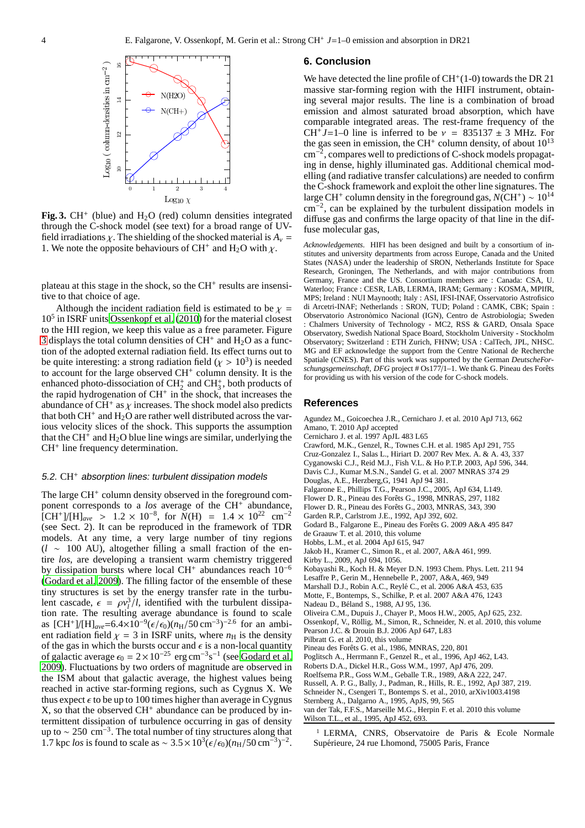

<span id="page-5-32"></span>Fig. 3.  $CH^+$  (blue) and  $H_2O$  (red) column densities integrated through the C-shock model (see text) for a broad range of UVfield irradiations  $\chi$ . The shielding of the shocked material is  $A_v$  = 1. We note the opposite behaviours of CH<sup>+</sup> and H<sub>2</sub>O with  $\chi$ .

plateau at this stage in the shock, so the CH<sup>+</sup> results are insensitive to that choice of age.

Although the incident radiation field is estimated to be  $\chi =$ 10<sup>5</sup> in ISRF units [Ossenkopf et al. \(2010\)](#page-5-23) for the material closest to the HII region, we keep this value as a free parameter. Figure [3](#page-5-32) displays the total column densities of  $CH<sup>+</sup>$  and  $H<sub>2</sub>O$  as a function of the adopted external radiation field. Its effect turns out to be quite interesting: a strong radiation field ( $\chi > 10^3$ ) is needed to account for the large observed CH<sup>+</sup> column density. It is the enhanced photo-dissociation of  $CH_2^+$  and  $CH_3^+$ , both products of the rapid hydrogenation of  $CH^+$  in the shock, that increases the abundance of CH<sup>+</sup> as  $\chi$  increases. The shock model also predicts that both  $CH^+$  and  $H_2O$  are rather well distributed across the various velocity slices of the shock. This supports the assumption that the CH<sup>+</sup> and  $H_2O$  blue line wings are similar, underlying the CH<sup>+</sup> line frequency determination.

#### 5.2. CH<sup>+</sup> absorption lines: turbulent dissipation models

The large CH<sup>+</sup> column density observed in the foreground component corresponds to a *los* average of the CH<sup>+</sup> abundance,  $\text{[CH}^+]/\text{[H]}_{\text{ave}}$  > 1.2 × 10<sup>-8</sup>, for  $\tilde{N}(\text{H})$  = 1.4 × 10<sup>22</sup> cm<sup>-2</sup> (see Sect. 2). It can be reproduced in the framework of TDR models. At any time, a very large number of tiny regions (*l* ∼ 100 AU), altogether filling a small fraction of the entire *los*, are developing a transient warm chemistry triggered by dissipation bursts where local CH<sup>+</sup> abundances reach 10<sup>-6</sup> [\(Godard et al. 2009\)](#page-5-1). The filling factor of the ensemble of these tiny structures is set by the energy transfer rate in the turbulent cascade,  $\epsilon = \rho v_l^3/l$ , identified with the turbulent dissipa- $\mu$  rate. The resulting average abundance is found to scale as  $[\text{CH}^+]/[\text{H}]_{\text{ave}} = 6.4 \times 10^{-9} (\epsilon/\epsilon_0) (n_{\text{H}}/50 \text{ cm}^{-3})^{-2.6}$  for an ambient radiation field  $\chi = 3$  in ISRF units, where  $n_H$  is the density of the gas in which the bursts occur and  $\epsilon$  is a non-local quantity of galactic average  $\epsilon_0 = 2 \times 10^{-25}$  erg cm<sup>-3</sup>s<sup>-1</sup> (see [Godard et al.](#page-5-1) [2009](#page-5-1)). Fluctuations by two orders of magnitude are observed in the ISM about that galactic average, the highest values being reached in active star-forming regions, such as Cygnus X. We thus expect  $\epsilon$  to be up to 100 times higher than average in Cygnus X, so that the observed CH<sup>+</sup> abundance can be produced by intermittent dissipation of turbulence occurring in gas of density up to  $\sim 250 \text{ cm}^{-3}$ . The total number of tiny structures along that 1.7 kpc *los* is found to scale as ~ 3.5 × 10<sup>3</sup>( $\epsilon/\epsilon_0$ )( $n_H$ /50 cm<sup>-3</sup>)<sup>-2</sup>.

### **6. Conclusion**

We have detected the line profile of  $CH<sup>+</sup>(1-0)$  towards the DR 21 massive star-forming region with the HIFI instrument, obtaining several major results. The line is a combination of broad emission and almost saturated broad absorption, which have comparable integrated areas. The rest-frame frequency of the CH<sup>+</sup>J=1–0 line is inferred to be  $v = 835137 \pm 3$  MHz. For the gas seen in emission, the CH<sup>+</sup> column density, of about  $10^{13}$ cm<sup>−</sup><sup>2</sup> , compares well to predictions of C-shock models propagating in dense, highly illuminated gas. Additional chemical modelling (and radiative transfer calculations) are needed to confirm the C-shock framework and exploit the other line signatures. The large CH<sup>+</sup> column density in the foreground gas,  $N(\text{CH}^+) \sim 10^{14}$ cm<sup>−</sup><sup>2</sup> , can be explained by the turbulent dissipation models in diffuse gas and confirms the large opacity of that line in the diffuse molecular gas,

*Acknowledgements.* HIFI has been designed and built by a consortium of institutes and university departments from across Europe, Canada and the United States (NASA) under the leadership of SRON, Netherlands Institute for Space Research, Groningen, The Netherlands, and with major contributions from Germany, France and the US. Consortium members are : Canada: CSA, U. Waterloo; France : CESR, LAB, LERMA, IRAM; Germany : KOSMA, MPIfR, MPS; Ireland : NUI Maynooth; Italy : ASI, IFSI-INAF, Osservatorio Astrofisico di Arcetri-INAF; Netherlands : SRON, TUD; Poland : CAMK, CBK; Spain : Observatorio Astronòmico Nacional (IGN), Centro de Astrobiologia; Sweden : Chalmers University of Technology - MC2, RSS & GARD, Onsala Space Observatory, Swedish National Space Board, Stockholm University - Stockholm Observatory; Switzerland : ETH Zurich, FHNW; USA : CalTech, JPL, NHSC. MG and EF acknowledge the support from the Centre National de Recherche Spatiale (CNES). Part of this work was supported by the German *DeutscheForschungsgemeinschaft, DFG* project # Os177/1-1. We thank G. Pineau des Forêts for providing us with his version of the code for C-shock models.

#### **References**

<span id="page-5-31"></span><span id="page-5-29"></span><span id="page-5-26"></span><span id="page-5-25"></span><span id="page-5-22"></span><span id="page-5-15"></span><span id="page-5-12"></span><span id="page-5-11"></span><span id="page-5-8"></span><span id="page-5-6"></span><span id="page-5-5"></span><span id="page-5-3"></span><span id="page-5-2"></span><span id="page-5-1"></span><span id="page-5-0"></span>Agundez M., Goicoechea J.R., Cernicharo J. et al. 2010 ApJ 713, 662 Amano, T. 2010 ApJ accepted Cernicharo J. et al. 1997 ApJL 483 L65 Crawford, M.K., Genzel, R., Townes C.H. et al. 1985 ApJ 291, 755 Cruz-Gonzalez I., Salas L., Hiriart D. 2007 Rev Mex. A. & A. 43, 337 Cyganowski C.J., Reid M.J., Fish V.L. & Ho P.T.P. 2003, ApJ 596, 344. Davis C.J., Kumar M.S.N., Sandel G. et al. 2007 MNRAS 374 29 Douglas, A.E., Herzberg,G, 1941 ApJ 94 381. Falgarone E., Phillips T.G., Pearson J.C., 2005, ApJ 634, L149. Flower D. R., Pineau des Forêts G., 1998, MNRAS, 297, 1182 Flower D. R., Pineau des Forêts G., 2003, MNRAS, 343, 390 Garden R.P., Carlstrom J.E., 1992, ApJ 392, 602. Godard B., Falgarone E., Pineau des Forêts G. 2009 A&A 495 847 de Graauw T. et al. 2010, this volume Hobbs, L.M., et al. 2004 ApJ 615, 947 Jakob H., Kramer C., Simon R., et al. 2007, A&A 461, 999. Kirby L., 2009, ApJ 694, 1056. Kobayashi R., Koch H. & Meyer D.N. 1993 Chem. Phys. Lett. 211 94 Lesaffre P., Gerin M., Hennebelle P., 2007, A&A, 469, 949 Marshall D.J., Robin A.C., Reylé C., et al. 2006 A&A 453, 635 Motte, F., Bontemps, S., Schilke, P. et al. 2007 A&A 476, 1243 Nadeau D., Béland S., 1988, AJ 95, 136. Oliveira C.M., Dupuis J., Chayer P., Moos H.W., 2005, ApJ 625, 232. Ossenkopf, V., Röllig, M., Simon, R., Schneider, N. et al. 2010, this volume Pearson J.C. & Drouin B.J. 2006 ApJ 647, L83 Pilbratt G. et al. 2010, this volume Pineau des Forêts G. et al., 1986, MNRAS, 220, 801 Poglitsch A., Herrmann F., Genzel R., et al., 1996, ApJ 462, L43. Roberts D.A., Dickel H.R., Goss W.M., 1997, ApJ 476, 209. Roelfsema P.R., Goss W.M., Geballe T.R., 1989, A&A 222, 247. Russell, A. P. G., Bally, J., Padman, R., Hills, R. E., 1992, ApJ 387, 219. Schneider N., Csengeri T., Bontemps S. et al., 2010, arXiv1003.4198 Sternberg A., Dalgarno A., 1995, ApJS, 99, 565 van der Tak, F.F.S., Marseille M.G., Herpin F. et al. 2010 this volume Wilson T.L., et al., 1995, ApJ 452, 693.

<span id="page-5-30"></span><span id="page-5-28"></span><span id="page-5-27"></span><span id="page-5-24"></span><span id="page-5-23"></span><span id="page-5-21"></span><span id="page-5-20"></span><span id="page-5-19"></span><span id="page-5-18"></span><span id="page-5-17"></span><span id="page-5-16"></span><span id="page-5-14"></span><span id="page-5-13"></span><span id="page-5-10"></span><span id="page-5-9"></span><span id="page-5-7"></span><span id="page-5-4"></span><sup>1</sup> LERMA, CNRS, Observatoire de Paris & Ecole Normale Supérieure, 24 rue Lhomond, 75005 Paris, France